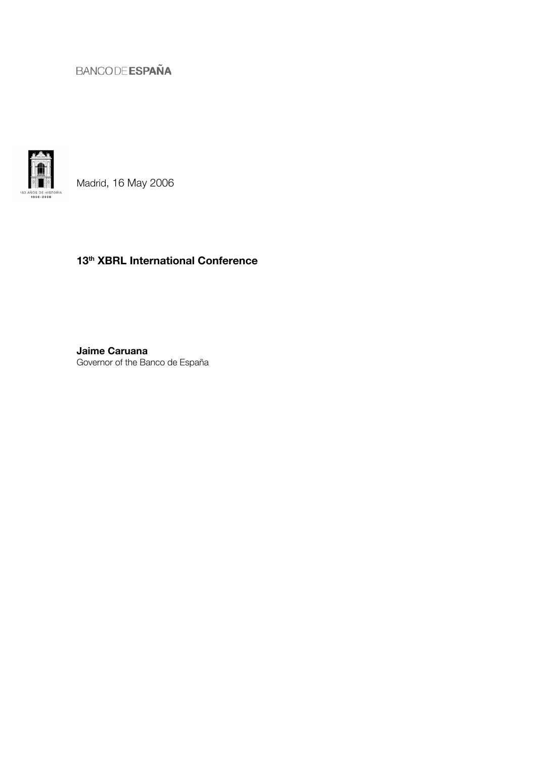

Madrid, 16 May 2006

# 13<sup>th</sup> XBRL International Conference

Jaime Caruana Governor of the Banco de España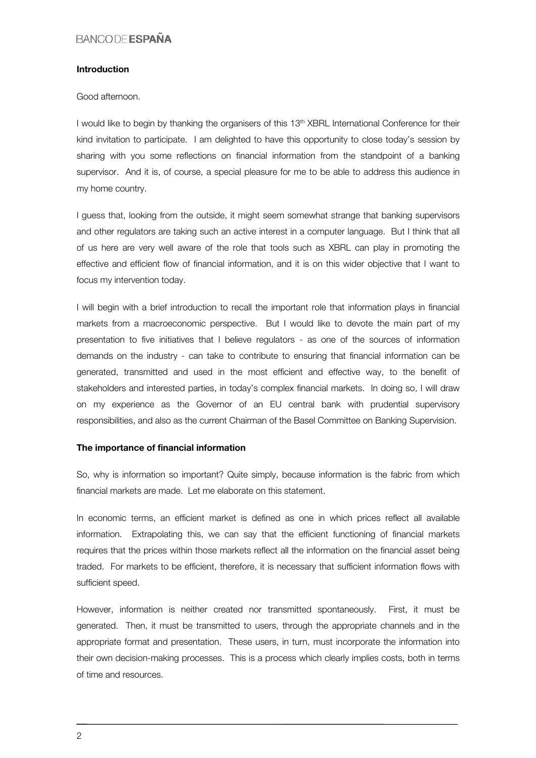#### Introduction

Good afternoon.

I would like to begin by thanking the organisers of this 13<sup>th</sup> XBRL International Conference for their kind invitation to participate. I am delighted to have this opportunity to close today's session by sharing with you some reflections on financial information from the standpoint of a banking supervisor. And it is, of course, a special pleasure for me to be able to address this audience in my home country.

I guess that, looking from the outside, it might seem somewhat strange that banking supervisors and other regulators are taking such an active interest in a computer language. But I think that all of us here are very well aware of the role that tools such as XBRL can play in promoting the effective and efficient flow of financial information, and it is on this wider objective that I want to focus my intervention today.

I will begin with a brief introduction to recall the important role that information plays in financial markets from a macroeconomic perspective. But I would like to devote the main part of my presentation to five initiatives that I believe regulators - as one of the sources of information demands on the industry - can take to contribute to ensuring that financial information can be generated, transmitted and used in the most efficient and effective way, to the benefit of stakeholders and interested parties, in today's complex financial markets. In doing so, I will draw on my experience as the Governor of an EU central bank with prudential supervisory responsibilities, and also as the current Chairman of the Basel Committee on Banking Supervision.

#### The importance of financial information

So, why is information so important? Quite simply, because information is the fabric from which financial markets are made. Let me elaborate on this statement.

In economic terms, an efficient market is defined as one in which prices reflect all available information. Extrapolating this, we can say that the efficient functioning of financial markets requires that the prices within those markets reflect all the information on the financial asset being traded. For markets to be efficient, therefore, it is necessary that sufficient information flows with sufficient speed.

However, information is neither created nor transmitted spontaneously. First, it must be generated. Then, it must be transmitted to users, through the appropriate channels and in the appropriate format and presentation. These users, in turn, must incorporate the information into their own decision-making processes. This is a process which clearly implies costs, both in terms of time and resources.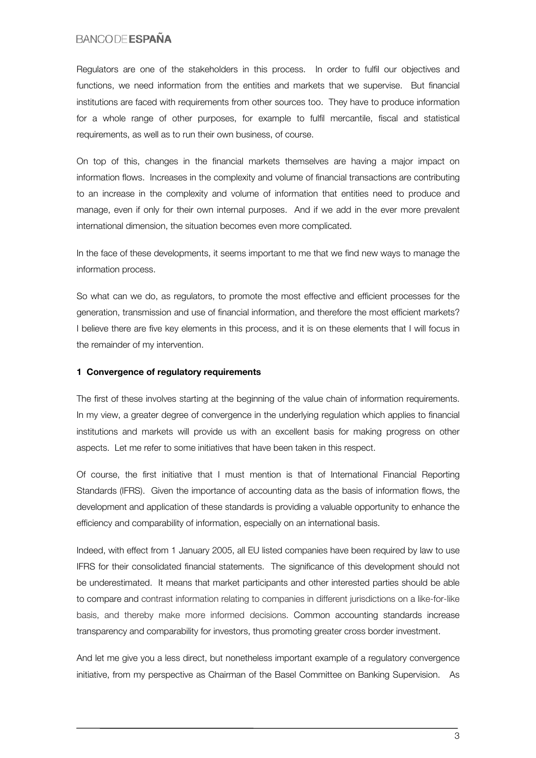Regulators are one of the stakeholders in this process. In order to fulfil our objectives and functions, we need information from the entities and markets that we supervise. But financial institutions are faced with requirements from other sources too. They have to produce information for a whole range of other purposes, for example to fulfil mercantile, fiscal and statistical requirements, as well as to run their own business, of course.

On top of this, changes in the financial markets themselves are having a major impact on information flows. Increases in the complexity and volume of financial transactions are contributing to an increase in the complexity and volume of information that entities need to produce and manage, even if only for their own internal purposes. And if we add in the ever more prevalent international dimension, the situation becomes even more complicated.

In the face of these developments, it seems important to me that we find new ways to manage the information process.

So what can we do, as regulators, to promote the most effective and efficient processes for the generation, transmission and use of financial information, and therefore the most efficient markets? I believe there are five key elements in this process, and it is on these elements that I will focus in the remainder of my intervention.

#### 1 Convergence of regulatory requirements

The first of these involves starting at the beginning of the value chain of information requirements. In my view, a greater degree of convergence in the underlying regulation which applies to financial institutions and markets will provide us with an excellent basis for making progress on other aspects. Let me refer to some initiatives that have been taken in this respect.

Of course, the first initiative that I must mention is that of International Financial Reporting Standards (IFRS). Given the importance of accounting data as the basis of information flows, the development and application of these standards is providing a valuable opportunity to enhance the efficiency and comparability of information, especially on an international basis.

Indeed, with effect from 1 January 2005, all EU listed companies have been required by law to use IFRS for their consolidated financial statements. The significance of this development should not be underestimated. It means that market participants and other interested parties should be able to compare and contrast information relating to companies in different jurisdictions on a like-for-like basis, and thereby make more informed decisions. Common accounting standards increase transparency and comparability for investors, thus promoting greater cross border investment.

And let me give you a less direct, but nonetheless important example of a regulatory convergence initiative, from my perspective as Chairman of the Basel Committee on Banking Supervision. As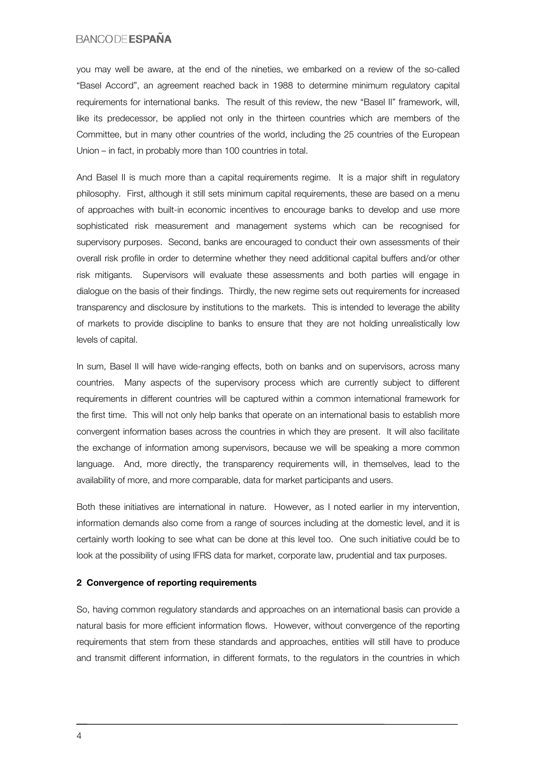you may well be aware, at the end of the nineties, we embarked on a review of the so-called "Basel Accord", an agreement reached back in 1988 to determine minimum regulatory capital requirements for international banks. The result of this review, the new "Basel II" framework, will, like its predecessor, be applied not only in the thirteen countries which are members of the Committee, but in many other countries of the world, including the 25 countries of the European Union – in fact, in probably more than 100 countries in total.

And Basel II is much more than a capital requirements regime. It is a major shift in regulatory philosophy. First, although it still sets minimum capital requirements, these are based on a menu of approaches with built-in economic incentives to encourage banks to develop and use more sophisticated risk measurement and management systems which can be recognised for supervisory purposes. Second, banks are encouraged to conduct their own assessments of their overall risk profile in order to determine whether they need additional capital buffers and/or other risk mitigants. Supervisors will evaluate these assessments and both parties will engage in dialogue on the basis of their findings. Thirdly, the new regime sets out requirements for increased transparency and disclosure by institutions to the markets. This is intended to leverage the ability of markets to provide discipline to banks to ensure that they are not holding unrealistically low levels of capital.

In sum, Basel II will have wide-ranging effects, both on banks and on supervisors, across many countries. Many aspects of the supervisory process which are currently subject to different requirements in different countries will be captured within a common international framework for the first time. This will not only help banks that operate on an international basis to establish more convergent information bases across the countries in which they are present. It will also facilitate the exchange of information among supervisors, because we will be speaking a more common language. And, more directly, the transparency requirements will, in themselves, lead to the availability of more, and more comparable, data for market participants and users.

Both these initiatives are international in nature. However, as I noted earlier in my intervention, information demands also come from a range of sources including at the domestic level, and it is certainly worth looking to see what can be done at this level too. One such initiative could be to look at the possibility of using IFRS data for market, corporate law, prudential and tax purposes.

#### 2 Convergence of reporting requirements

So, having common regulatory standards and approaches on an international basis can provide a natural basis for more efficient information flows. However, without convergence of the reporting requirements that stem from these standards and approaches, entities will still have to produce and transmit different information, in different formats, to the regulators in the countries in which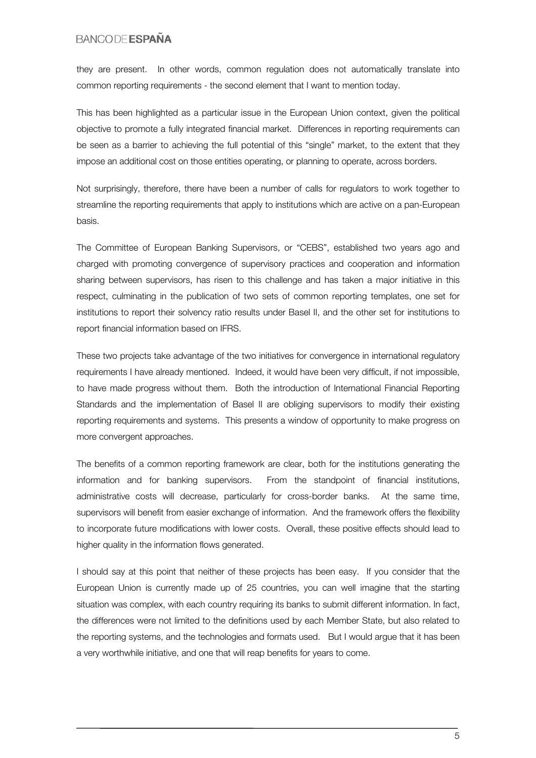they are present. In other words, common regulation does not automatically translate into common reporting requirements - the second element that I want to mention today.

This has been highlighted as a particular issue in the European Union context, given the political objective to promote a fully integrated financial market. Differences in reporting requirements can be seen as a barrier to achieving the full potential of this "single" market, to the extent that they impose an additional cost on those entities operating, or planning to operate, across borders.

Not surprisingly, therefore, there have been a number of calls for regulators to work together to streamline the reporting requirements that apply to institutions which are active on a pan-European basis.

The Committee of European Banking Supervisors, or "CEBS", established two years ago and charged with promoting convergence of supervisory practices and cooperation and information sharing between supervisors, has risen to this challenge and has taken a major initiative in this respect, culminating in the publication of two sets of common reporting templates, one set for institutions to report their solvency ratio results under Basel II, and the other set for institutions to report financial information based on IFRS.

These two projects take advantage of the two initiatives for convergence in international regulatory requirements I have already mentioned. Indeed, it would have been very difficult, if not impossible, to have made progress without them. Both the introduction of International Financial Reporting Standards and the implementation of Basel II are obliging supervisors to modify their existing reporting requirements and systems. This presents a window of opportunity to make progress on more convergent approaches.

The benefits of a common reporting framework are clear, both for the institutions generating the information and for banking supervisors. From the standpoint of financial institutions, administrative costs will decrease, particularly for cross-border banks. At the same time, supervisors will benefit from easier exchange of information. And the framework offers the flexibility to incorporate future modifications with lower costs. Overall, these positive effects should lead to higher quality in the information flows generated.

I should say at this point that neither of these projects has been easy. If you consider that the European Union is currently made up of 25 countries, you can well imagine that the starting situation was complex, with each country requiring its banks to submit different information. In fact, the differences were not limited to the definitions used by each Member State, but also related to the reporting systems, and the technologies and formats used. But I would argue that it has been a very worthwhile initiative, and one that will reap benefits for years to come.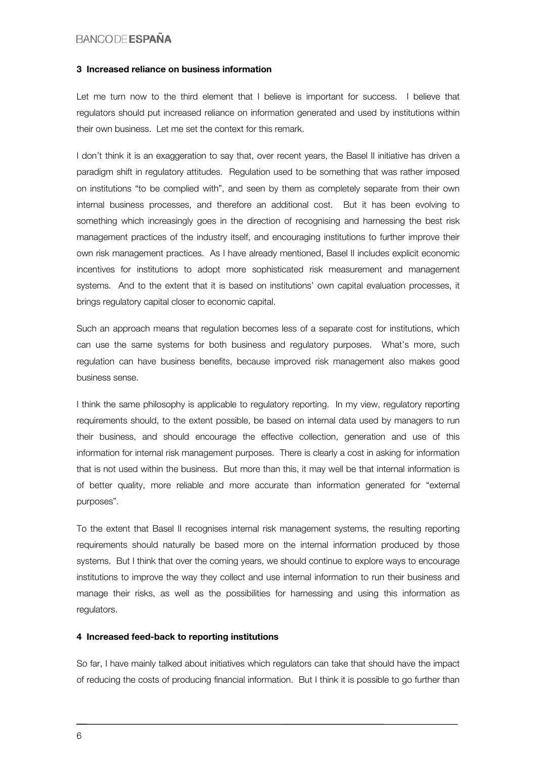#### 3 Increased reliance on business information

Let me turn now to the third element that I believe is important for success. I believe that regulators should put increased reliance on information generated and used by institutions within their own business. Let me set the context for this remark.

I don't think it is an exaggeration to say that, over recent years, the Basel II initiative has driven a paradigm shift in regulatory attitudes. Regulation used to be something that was rather imposed on institutions "to be complied with", and seen by them as completely separate from their own internal business processes, and therefore an additional cost. But it has been evolving to something which increasingly goes in the direction of recognising and harnessing the best risk management practices of the industry itself, and encouraging institutions to further improve their own risk management practices. As I have already mentioned, Basel II includes explicit economic incentives for institutions to adopt more sophisticated risk measurement and management systems. And to the extent that it is based on institutions' own capital evaluation processes, it brings regulatory capital closer to economic capital.

Such an approach means that regulation becomes less of a separate cost for institutions, which can use the same systems for both business and regulatory purposes. What's more, such regulation can have business benefits, because improved risk management also makes good business sense.

I think the same philosophy is applicable to regulatory reporting. In my view, regulatory reporting requirements should, to the extent possible, be based on internal data used by managers to run their business, and should encourage the effective collection, generation and use of this information for internal risk management purposes. There is clearly a cost in asking for information that is not used within the business. But more than this, it may well be that internal information is of better quality, more reliable and more accurate than information generated for "external purposes".

To the extent that Basel II recognises internal risk management systems, the resulting reporting requirements should naturally be based more on the internal information produced by those systems. But I think that over the coming years, we should continue to explore ways to encourage institutions to improve the way they collect and use internal information to run their business and manage their risks, as well as the possibilities for harnessing and using this information as regulators.

#### 4 Increased feed-back to reporting institutions

So far, I have mainly talked about initiatives which regulators can take that should have the impact of reducing the costs of producing financial information. But I think it is possible to go further than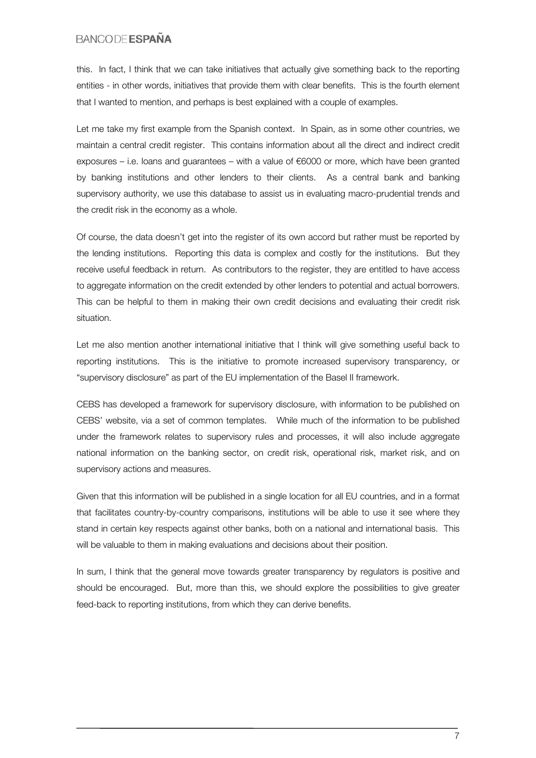this. In fact, I think that we can take initiatives that actually give something back to the reporting entities - in other words, initiatives that provide them with clear benefits. This is the fourth element that I wanted to mention, and perhaps is best explained with a couple of examples.

Let me take my first example from the Spanish context. In Spain, as in some other countries, we maintain a central credit register. This contains information about all the direct and indirect credit exposures – i.e. loans and guarantees – with a value of  $\epsilon$ 6000 or more, which have been granted by banking institutions and other lenders to their clients. As a central bank and banking supervisory authority, we use this database to assist us in evaluating macro-prudential trends and the credit risk in the economy as a whole.

Of course, the data doesn't get into the register of its own accord but rather must be reported by the lending institutions. Reporting this data is complex and costly for the institutions. But they receive useful feedback in return. As contributors to the register, they are entitled to have access to aggregate information on the credit extended by other lenders to potential and actual borrowers. This can be helpful to them in making their own credit decisions and evaluating their credit risk situation.

Let me also mention another international initiative that I think will give something useful back to reporting institutions. This is the initiative to promote increased supervisory transparency, or "supervisory disclosure" as part of the EU implementation of the Basel II framework.

CEBS has developed a framework for supervisory disclosure, with information to be published on CEBS' website, via a set of common templates. While much of the information to be published under the framework relates to supervisory rules and processes, it will also include aggregate national information on the banking sector, on credit risk, operational risk, market risk, and on supervisory actions and measures.

Given that this information will be published in a single location for all EU countries, and in a format that facilitates country-by-country comparisons, institutions will be able to use it see where they stand in certain key respects against other banks, both on a national and international basis. This will be valuable to them in making evaluations and decisions about their position.

In sum, I think that the general move towards greater transparency by regulators is positive and should be encouraged. But, more than this, we should explore the possibilities to give greater feed-back to reporting institutions, from which they can derive benefits.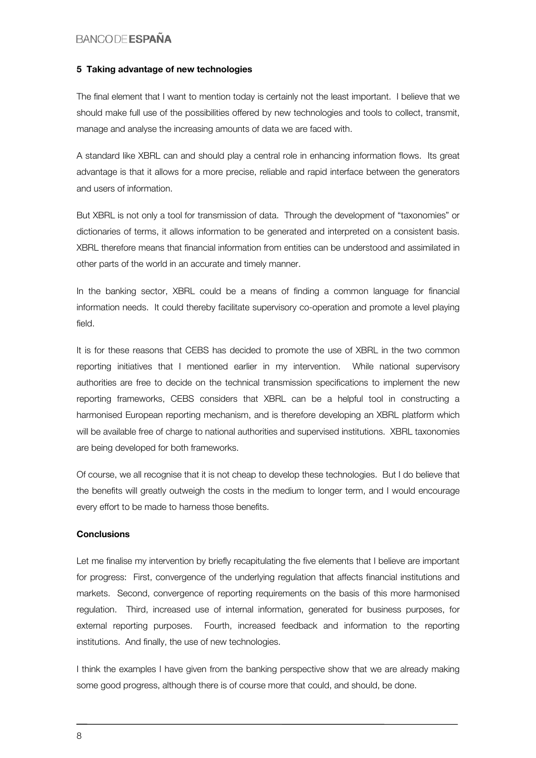#### 5 Taking advantage of new technologies

The final element that I want to mention today is certainly not the least important. I believe that we should make full use of the possibilities offered by new technologies and tools to collect, transmit, manage and analyse the increasing amounts of data we are faced with.

A standard like XBRL can and should play a central role in enhancing information flows. Its great advantage is that it allows for a more precise, reliable and rapid interface between the generators and users of information.

But XBRL is not only a tool for transmission of data. Through the development of "taxonomies" or dictionaries of terms, it allows information to be generated and interpreted on a consistent basis. XBRL therefore means that financial information from entities can be understood and assimilated in other parts of the world in an accurate and timely manner.

In the banking sector, XBRL could be a means of finding a common language for financial information needs. It could thereby facilitate supervisory co-operation and promote a level playing field.

It is for these reasons that CEBS has decided to promote the use of XBRL in the two common reporting initiatives that I mentioned earlier in my intervention. While national supervisory authorities are free to decide on the technical transmission specifications to implement the new reporting frameworks, CEBS considers that XBRL can be a helpful tool in constructing a harmonised European reporting mechanism, and is therefore developing an XBRL platform which will be available free of charge to national authorities and supervised institutions. XBRL taxonomies are being developed for both frameworks.

Of course, we all recognise that it is not cheap to develop these technologies. But I do believe that the benefits will greatly outweigh the costs in the medium to longer term, and I would encourage every effort to be made to harness those benefits.

#### **Conclusions**

Let me finalise my intervention by briefly recapitulating the five elements that I believe are important for progress: First, convergence of the underlying regulation that affects financial institutions and markets. Second, convergence of reporting requirements on the basis of this more harmonised regulation. Third, increased use of internal information, generated for business purposes, for external reporting purposes. Fourth, increased feedback and information to the reporting institutions. And finally, the use of new technologies.

I think the examples I have given from the banking perspective show that we are already making some good progress, although there is of course more that could, and should, be done.